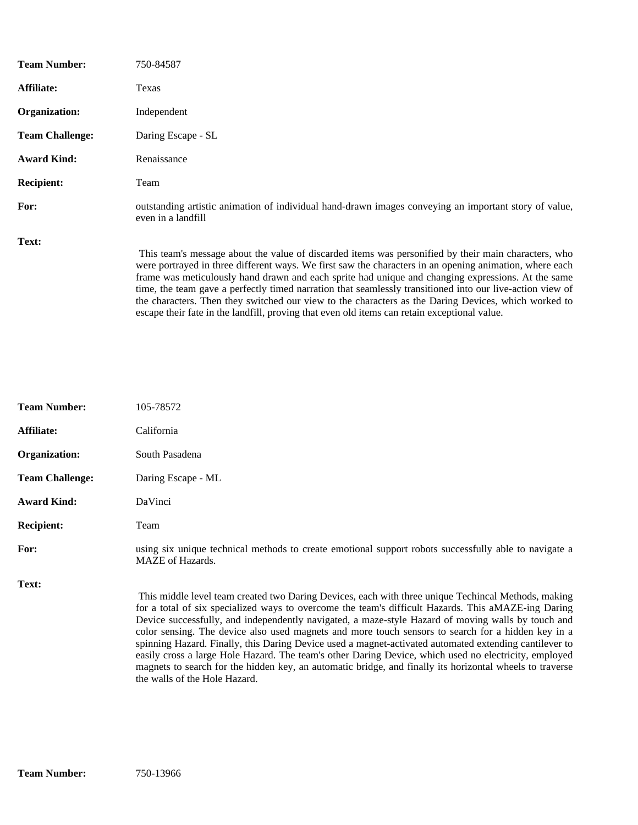| <b>Team Number:</b>    | 750-84587                                                                                                                                                                                                                                                                                                                                                                                                                                                                                                                                                                                                                                  |  |
|------------------------|--------------------------------------------------------------------------------------------------------------------------------------------------------------------------------------------------------------------------------------------------------------------------------------------------------------------------------------------------------------------------------------------------------------------------------------------------------------------------------------------------------------------------------------------------------------------------------------------------------------------------------------------|--|
| Affiliate:             | Texas                                                                                                                                                                                                                                                                                                                                                                                                                                                                                                                                                                                                                                      |  |
| Organization:          | Independent                                                                                                                                                                                                                                                                                                                                                                                                                                                                                                                                                                                                                                |  |
| <b>Team Challenge:</b> | Daring Escape - SL                                                                                                                                                                                                                                                                                                                                                                                                                                                                                                                                                                                                                         |  |
| <b>Award Kind:</b>     | Renaissance                                                                                                                                                                                                                                                                                                                                                                                                                                                                                                                                                                                                                                |  |
| <b>Recipient:</b>      | Team                                                                                                                                                                                                                                                                                                                                                                                                                                                                                                                                                                                                                                       |  |
| For:                   | outstanding artistic animation of individual hand-drawn images conveying an important story of value,<br>even in a landfill                                                                                                                                                                                                                                                                                                                                                                                                                                                                                                                |  |
| Text:                  | This team's message about the value of discarded items was personified by their main characters, who<br>were portrayed in three different ways. We first saw the characters in an opening animation, where each<br>frame was meticulously hand drawn and each sprite had unique and changing expressions. At the same<br>time, the team gave a perfectly timed narration that seamlessly transitioned into our live-action view of<br>the characters. Then they switched our view to the characters as the Daring Devices, which worked to<br>escape their fate in the landfill, proving that even old items can retain exceptional value. |  |

| <b>Team Number:</b>    | 105-78572                                                                                                                                                                                                                                                                                                                                                                                                                                                                                                                                                                                                                                                                                                                                                                              |  |
|------------------------|----------------------------------------------------------------------------------------------------------------------------------------------------------------------------------------------------------------------------------------------------------------------------------------------------------------------------------------------------------------------------------------------------------------------------------------------------------------------------------------------------------------------------------------------------------------------------------------------------------------------------------------------------------------------------------------------------------------------------------------------------------------------------------------|--|
| Affiliate:             | California                                                                                                                                                                                                                                                                                                                                                                                                                                                                                                                                                                                                                                                                                                                                                                             |  |
| Organization:          | South Pasadena                                                                                                                                                                                                                                                                                                                                                                                                                                                                                                                                                                                                                                                                                                                                                                         |  |
| <b>Team Challenge:</b> | Daring Escape - ML                                                                                                                                                                                                                                                                                                                                                                                                                                                                                                                                                                                                                                                                                                                                                                     |  |
| <b>Award Kind:</b>     | DaVinci                                                                                                                                                                                                                                                                                                                                                                                                                                                                                                                                                                                                                                                                                                                                                                                |  |
| <b>Recipient:</b>      | Team                                                                                                                                                                                                                                                                                                                                                                                                                                                                                                                                                                                                                                                                                                                                                                                   |  |
| For:                   | using six unique technical methods to create emotional support robots successfully able to navigate a<br><b>MAZE</b> of Hazards.                                                                                                                                                                                                                                                                                                                                                                                                                                                                                                                                                                                                                                                       |  |
| Text:                  | This middle level team created two Daring Devices, each with three unique Techincal Methods, making<br>for a total of six specialized ways to overcome the team's difficult Hazards. This aMAZE-ing Daring<br>Device successfully, and independently navigated, a maze-style Hazard of moving walls by touch and<br>color sensing. The device also used magnets and more touch sensors to search for a hidden key in a<br>spinning Hazard. Finally, this Daring Device used a magnet-activated automated extending cantilever to<br>easily cross a large Hole Hazard. The team's other Daring Device, which used no electricity, employed<br>magnets to search for the hidden key, an automatic bridge, and finally its horizontal wheels to traverse<br>the walls of the Hole Hazard. |  |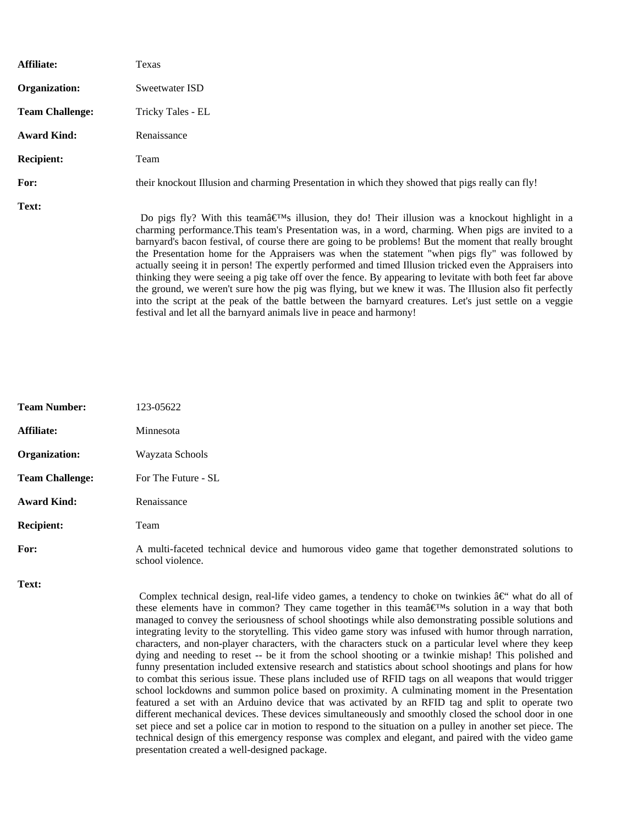| Affiliate:             | Texas                                                                                                                                                                                                                                                                                                                                                                                                                                                                                                                                                                                                                                                                                                                                                                                                                                                                                                                                                        |
|------------------------|--------------------------------------------------------------------------------------------------------------------------------------------------------------------------------------------------------------------------------------------------------------------------------------------------------------------------------------------------------------------------------------------------------------------------------------------------------------------------------------------------------------------------------------------------------------------------------------------------------------------------------------------------------------------------------------------------------------------------------------------------------------------------------------------------------------------------------------------------------------------------------------------------------------------------------------------------------------|
| Organization:          | Sweetwater ISD                                                                                                                                                                                                                                                                                                                                                                                                                                                                                                                                                                                                                                                                                                                                                                                                                                                                                                                                               |
| <b>Team Challenge:</b> | Tricky Tales - EL                                                                                                                                                                                                                                                                                                                                                                                                                                                                                                                                                                                                                                                                                                                                                                                                                                                                                                                                            |
| <b>Award Kind:</b>     | Renaissance                                                                                                                                                                                                                                                                                                                                                                                                                                                                                                                                                                                                                                                                                                                                                                                                                                                                                                                                                  |
| <b>Recipient:</b>      | Team                                                                                                                                                                                                                                                                                                                                                                                                                                                                                                                                                                                                                                                                                                                                                                                                                                                                                                                                                         |
| For:                   | their knockout Illusion and charming Presentation in which they showed that pigs really can fly!                                                                                                                                                                                                                                                                                                                                                                                                                                                                                                                                                                                                                                                                                                                                                                                                                                                             |
| Text:                  | Do pigs fly? With this teamâ $\in \mathbb{M}$ s illusion, they do! Their illusion was a knockout highlight in a<br>charming performance. This team's Presentation was, in a word, charming. When pigs are invited to a<br>barnyard's bacon festival, of course there are going to be problems! But the moment that really brought<br>the Presentation home for the Appraisers was when the statement "when pigs fly" was followed by<br>actually seeing it in person! The expertly performed and timed Illusion tricked even the Appraisers into<br>thinking they were seeing a pig take off over the fence. By appearing to levitate with both feet far above<br>the ground, we weren't sure how the pig was flying, but we knew it was. The Illusion also fit perfectly<br>into the script at the peak of the battle between the barnyard creatures. Let's just settle on a veggie<br>festival and let all the barnyard animals live in peace and harmony! |

| <b>Team Number:</b>    | 123-05622                                                                                                                                                                                                                                                                                                                                                                                                                                                  |  |
|------------------------|------------------------------------------------------------------------------------------------------------------------------------------------------------------------------------------------------------------------------------------------------------------------------------------------------------------------------------------------------------------------------------------------------------------------------------------------------------|--|
| Affiliate:             | Minnesota                                                                                                                                                                                                                                                                                                                                                                                                                                                  |  |
| Organization:          | Wayzata Schools                                                                                                                                                                                                                                                                                                                                                                                                                                            |  |
| <b>Team Challenge:</b> | For The Future - SL                                                                                                                                                                                                                                                                                                                                                                                                                                        |  |
| <b>Award Kind:</b>     | Renaissance                                                                                                                                                                                                                                                                                                                                                                                                                                                |  |
| <b>Recipient:</b>      | Team                                                                                                                                                                                                                                                                                                                                                                                                                                                       |  |
| For:                   | A multi-faceted technical device and humorous video game that together demonstrated solutions to<br>school violence.                                                                                                                                                                                                                                                                                                                                       |  |
| Text:                  | Complex technical design, real-life video games, a tendency to choke on twinkies $\hat{a} \in \hat{C}$ what do all of<br>these elements have in common? They came together in this teamâ $\epsilon^{TM}$ s solution in a way that both<br>managed to convey the seriousness of school shootings while also demonstrating possible solutions and<br>integrating levity to the storytelling. This video game story was infused with humor through narration, |  |

characters, and non-player characters, with the characters stuck on a particular level where they keep dying and needing to reset -- be it from the school shooting or a twinkie mishap! This polished and funny presentation included extensive research and statistics about school shootings and plans for how to combat this serious issue. These plans included use of RFID tags on all weapons that would trigger school lockdowns and summon police based on proximity. A culminating moment in the Presentation featured a set with an Arduino device that was activated by an RFID tag and split to operate two different mechanical devices. These devices simultaneously and smoothly closed the school door in one set piece and set a police car in motion to respond to the situation on a pulley in another set piece. The technical design of this emergency response was complex and elegant, and paired with the video game presentation created a well-designed package.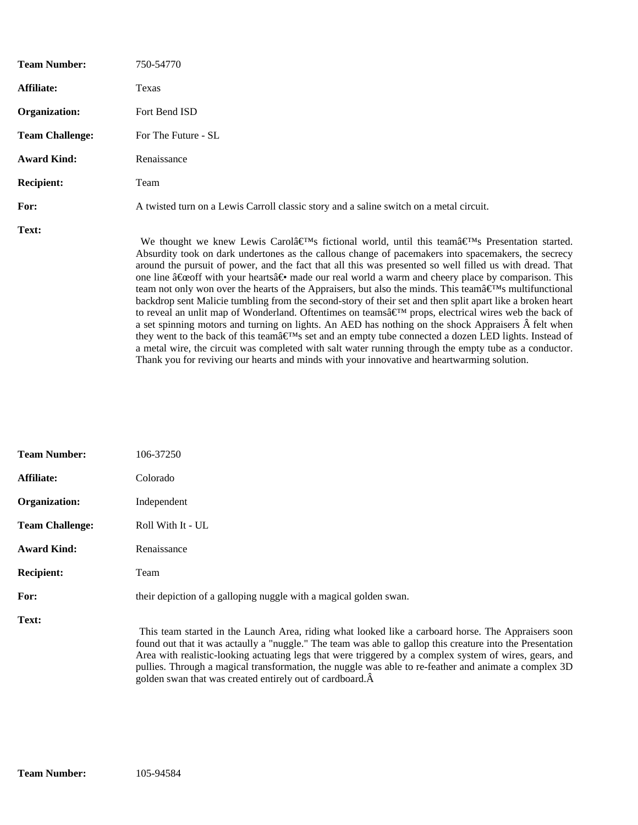| <b>Team Number:</b>    | 750-54770                                                                                                                                                                                                                                                                                                                                                                                                                                                                                                                                                                                                                                                                                                                                                                                                                                                                                                                                                                                                                                                                                                                                                                                                                                                           |
|------------------------|---------------------------------------------------------------------------------------------------------------------------------------------------------------------------------------------------------------------------------------------------------------------------------------------------------------------------------------------------------------------------------------------------------------------------------------------------------------------------------------------------------------------------------------------------------------------------------------------------------------------------------------------------------------------------------------------------------------------------------------------------------------------------------------------------------------------------------------------------------------------------------------------------------------------------------------------------------------------------------------------------------------------------------------------------------------------------------------------------------------------------------------------------------------------------------------------------------------------------------------------------------------------|
| Affiliate:             | Texas                                                                                                                                                                                                                                                                                                                                                                                                                                                                                                                                                                                                                                                                                                                                                                                                                                                                                                                                                                                                                                                                                                                                                                                                                                                               |
| Organization:          | Fort Bend ISD                                                                                                                                                                                                                                                                                                                                                                                                                                                                                                                                                                                                                                                                                                                                                                                                                                                                                                                                                                                                                                                                                                                                                                                                                                                       |
| <b>Team Challenge:</b> | For The Future - SL                                                                                                                                                                                                                                                                                                                                                                                                                                                                                                                                                                                                                                                                                                                                                                                                                                                                                                                                                                                                                                                                                                                                                                                                                                                 |
| <b>Award Kind:</b>     | Renaissance                                                                                                                                                                                                                                                                                                                                                                                                                                                                                                                                                                                                                                                                                                                                                                                                                                                                                                                                                                                                                                                                                                                                                                                                                                                         |
| <b>Recipient:</b>      | Team                                                                                                                                                                                                                                                                                                                                                                                                                                                                                                                                                                                                                                                                                                                                                                                                                                                                                                                                                                                                                                                                                                                                                                                                                                                                |
| For:                   | A twisted turn on a Lewis Carroll classic story and a saline switch on a metal circuit.                                                                                                                                                                                                                                                                                                                                                                                                                                                                                                                                                                                                                                                                                                                                                                                                                                                                                                                                                                                                                                                                                                                                                                             |
| Text:                  | We thought we knew Lewis Carolâ $\in \mathbb{T}^{M_S}$ fictional world, until this teamâ $\in \mathbb{T}^{M_S}$ Presentation started.<br>Absurdity took on dark undertones as the callous change of pacemakers into spacemakers, the secrecy<br>around the pursuit of power, and the fact that all this was presented so well filled us with dread. That<br>one line "off with your hearts― made our real world a warm and cheery place by comparison. This<br>team not only won over the hearts of the Appraisers, but also the minds. This teamâ $\infty$ <sup>TM</sup> s multifunctional<br>backdrop sent Malicie tumbling from the second-story of their set and then split apart like a broken heart<br>to reveal an unlit map of Wonderland. Oftentimes on teams $\hat{\mathbf{z}}^{\text{TM}}$ props, electrical wires web the back of<br>a set spinning motors and turning on lights. An AED has nothing on the shock Appraisers  felt when<br>they went to the back of this team's set and an empty tube connected a dozen LED lights. Instead of<br>a metal wire, the circuit was completed with salt water running through the empty tube as a conductor.<br>Thank you for reviving our hearts and minds with your innovative and heartwarming solution. |

| <b>Team Number:</b>    | 106-37250                                                                                                                                                                                                                                                                                                                                                                                                                                                                                                  |  |
|------------------------|------------------------------------------------------------------------------------------------------------------------------------------------------------------------------------------------------------------------------------------------------------------------------------------------------------------------------------------------------------------------------------------------------------------------------------------------------------------------------------------------------------|--|
| <b>Affiliate:</b>      | Colorado                                                                                                                                                                                                                                                                                                                                                                                                                                                                                                   |  |
| Organization:          | Independent                                                                                                                                                                                                                                                                                                                                                                                                                                                                                                |  |
| <b>Team Challenge:</b> | Roll With It - UL                                                                                                                                                                                                                                                                                                                                                                                                                                                                                          |  |
| <b>Award Kind:</b>     | Renaissance                                                                                                                                                                                                                                                                                                                                                                                                                                                                                                |  |
| <b>Recipient:</b>      | Team                                                                                                                                                                                                                                                                                                                                                                                                                                                                                                       |  |
| For:                   | their depiction of a galloping nuggle with a magical golden swan.                                                                                                                                                                                                                                                                                                                                                                                                                                          |  |
| <b>Text:</b>           | This team started in the Launch Area, riding what looked like a carboard horse. The Appraisers soon<br>found out that it was actaully a "nuggle." The team was able to gallop this creature into the Presentation<br>Area with realistic-looking actuating legs that were triggered by a complex system of wires, gears, and<br>pullies. Through a magical transformation, the nuggle was able to re-feather and animate a complex 3D<br>golden swan that was created entirely out of cardboard. $\hat{A}$ |  |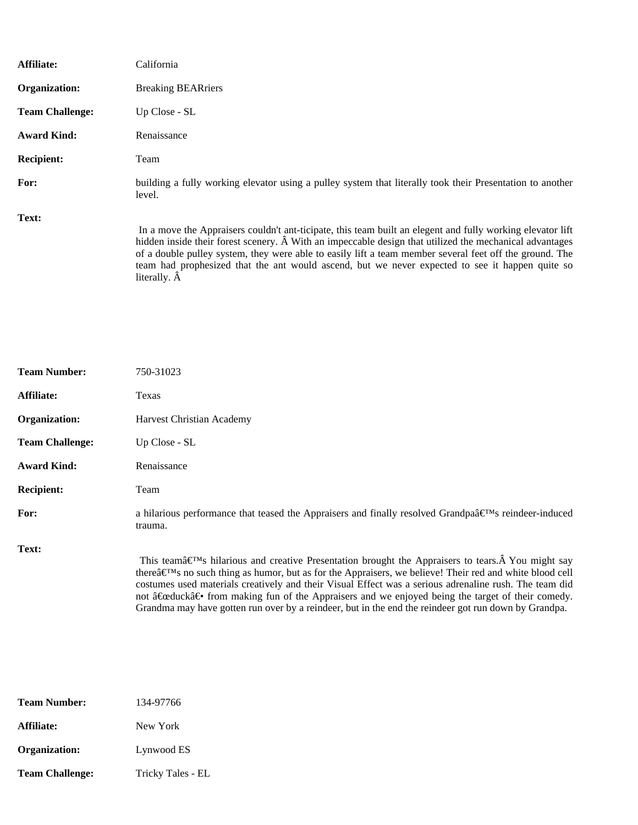| Affiliate:             | California                                                                                                                                                                                                                                                                                                                                                                                                                                                          |
|------------------------|---------------------------------------------------------------------------------------------------------------------------------------------------------------------------------------------------------------------------------------------------------------------------------------------------------------------------------------------------------------------------------------------------------------------------------------------------------------------|
| Organization:          | <b>Breaking BEARriers</b>                                                                                                                                                                                                                                                                                                                                                                                                                                           |
| <b>Team Challenge:</b> | Up Close - SL                                                                                                                                                                                                                                                                                                                                                                                                                                                       |
| <b>Award Kind:</b>     | Renaissance                                                                                                                                                                                                                                                                                                                                                                                                                                                         |
| <b>Recipient:</b>      | Team                                                                                                                                                                                                                                                                                                                                                                                                                                                                |
| For:                   | building a fully working elevator using a pulley system that literally took their Presentation to another<br>level.                                                                                                                                                                                                                                                                                                                                                 |
| Text:                  | In a move the Appraisers couldn't ant-ticipate, this team built an elegent and fully working elevator lift<br>hidden inside their forest scenery. $\hat{A}$ With an impeccable design that utilized the mechanical advantages<br>of a double pulley system, they were able to easily lift a team member several feet off the ground. The<br>team had prophesized that the ant would ascend, but we never expected to see it happen quite so<br>literally. $\hat{A}$ |

| <b>Team Number:</b>    | 750-31023                                                                                                                                                                                                                                                                                                                                                                                                                                                                                                                                                                                 |  |
|------------------------|-------------------------------------------------------------------------------------------------------------------------------------------------------------------------------------------------------------------------------------------------------------------------------------------------------------------------------------------------------------------------------------------------------------------------------------------------------------------------------------------------------------------------------------------------------------------------------------------|--|
| Affiliate:             | Texas                                                                                                                                                                                                                                                                                                                                                                                                                                                                                                                                                                                     |  |
| Organization:          | Harvest Christian Academy                                                                                                                                                                                                                                                                                                                                                                                                                                                                                                                                                                 |  |
| <b>Team Challenge:</b> | Up Close - SL                                                                                                                                                                                                                                                                                                                                                                                                                                                                                                                                                                             |  |
| <b>Award Kind:</b>     | Renaissance                                                                                                                                                                                                                                                                                                                                                                                                                                                                                                                                                                               |  |
| <b>Recipient:</b>      | Team                                                                                                                                                                                                                                                                                                                                                                                                                                                                                                                                                                                      |  |
| For:                   | a hilarious performance that teased the Appraisers and finally resolved Grandpaâ $\in \mathbb{N}$ reindeer-induced<br>trauma.                                                                                                                                                                                                                                                                                                                                                                                                                                                             |  |
| Text:                  | This teamâ $\in \mathbb{N}_S$ hilarious and creative Presentation brought the Appraisers to tears. Â You might say<br>there's no such thing as humor, but as for the Appraisers, we believe! Their red and white blood cell<br>costumes used materials creatively and their Visual Effect was a serious adrenaline rush. The team did<br>not $\hat{a} \in \mathbb{C}$ at $\hat{a} \in \hat{b}$ from making fun of the Appraisers and we enjoyed being the target of their comedy.<br>Grandma may have gotten run over by a reindeer, but in the end the reindeer got run down by Grandpa. |  |

| Team Number:           | 134-97766         |
|------------------------|-------------------|
| Affiliate:             | New York          |
| Organization:          | Lynwood ES        |
| <b>Team Challenge:</b> | Tricky Tales - EL |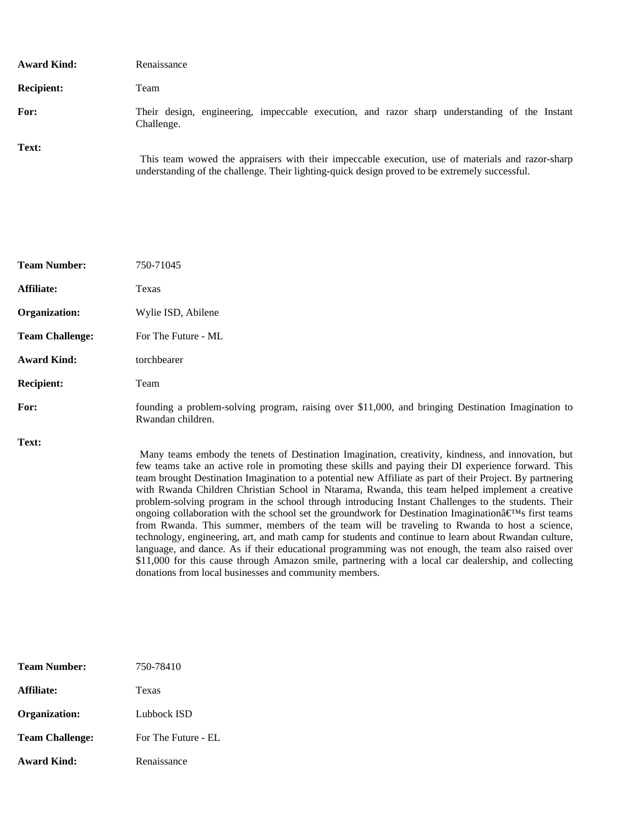| <b>Award Kind:</b> | Renaissance                                                                                                                                                                                        |
|--------------------|----------------------------------------------------------------------------------------------------------------------------------------------------------------------------------------------------|
| <b>Recipient:</b>  | Team                                                                                                                                                                                               |
| For:               | Their design, engineering, impeccable execution, and razor sharp understanding of the Instant<br>Challenge.                                                                                        |
| Text:              | This team wowed the appraisers with their impeccable execution, use of materials and razor-sharp<br>understanding of the challenge. Their lighting-quick design proved to be extremely successful. |

| <b>Team Number:</b>    | 750-71045                                                                                                                                                                                                  |
|------------------------|------------------------------------------------------------------------------------------------------------------------------------------------------------------------------------------------------------|
| Affiliate:             | Texas                                                                                                                                                                                                      |
| Organization:          | Wylie ISD, Abilene                                                                                                                                                                                         |
| <b>Team Challenge:</b> | For The Future - ML                                                                                                                                                                                        |
| <b>Award Kind:</b>     | torchbearer                                                                                                                                                                                                |
| <b>Recipient:</b>      | Team                                                                                                                                                                                                       |
| For:                   | founding a problem-solving program, raising over \$11,000, and bringing Destination Imagination to<br>Rwandan children.                                                                                    |
| Text:                  | Many teams embody the tenets of Destination Imagination, creativity, kindness, and innovation, but<br>few teams take an active role in promoting these skills and paying their DI experience forward. This |

team brought Destination Imagination to a potential new Affiliate as part of their Project. By partnering with Rwanda Children Christian School in Ntarama, Rwanda, this team helped implement a creative problem-solving program in the school through introducing Instant Challenges to the students. Their ongoing collaboration with the school set the groundwork for Destination Imagination $\hat{a} \in T^M$ s first teams from Rwanda. This summer, members of the team will be traveling to Rwanda to host a science, technology, engineering, art, and math camp for students and continue to learn about Rwandan culture, language, and dance. As if their educational programming was not enough, the team also raised over \$11,000 for this cause through Amazon smile, partnering with a local car dealership, and collecting donations from local businesses and community members.

| <b>Team Number:</b>    | 750-78410           |
|------------------------|---------------------|
| Affiliate:             | Texas               |
| Organization:          | Lubbock ISD         |
| <b>Team Challenge:</b> | For The Future - EL |
| <b>Award Kind:</b>     | Renaissance         |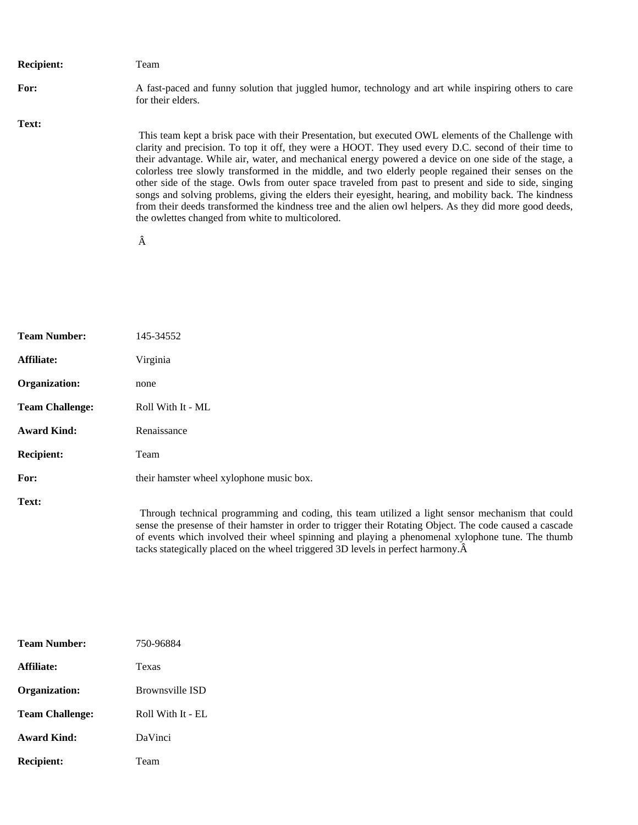| <b>Recipient:</b> | Team                                                                                                                                                                                                                                                                                                                                                                                                                                                                                                                                                                                                                                                                                                                                                                                                                 |
|-------------------|----------------------------------------------------------------------------------------------------------------------------------------------------------------------------------------------------------------------------------------------------------------------------------------------------------------------------------------------------------------------------------------------------------------------------------------------------------------------------------------------------------------------------------------------------------------------------------------------------------------------------------------------------------------------------------------------------------------------------------------------------------------------------------------------------------------------|
| For:              | A fast-paced and funny solution that juggled humor, technology and art while inspiring others to care<br>for their elders.                                                                                                                                                                                                                                                                                                                                                                                                                                                                                                                                                                                                                                                                                           |
| Text:             |                                                                                                                                                                                                                                                                                                                                                                                                                                                                                                                                                                                                                                                                                                                                                                                                                      |
|                   | This team kept a brisk pace with their Presentation, but executed OWL elements of the Challenge with<br>clarity and precision. To top it off, they were a HOOT. They used every D.C. second of their time to<br>their advantage. While air, water, and mechanical energy powered a device on one side of the stage, a<br>colorless tree slowly transformed in the middle, and two elderly people regained their senses on the<br>other side of the stage. Owls from outer space traveled from past to present and side to side, singing<br>songs and solving problems, giving the elders their eyesight, hearing, and mobility back. The kindness<br>from their deeds transformed the kindness tree and the alien owl helpers. As they did more good deeds,<br>the owlettes changed from white to multicolored.<br>Â |

| <b>Team Number:</b>    | 145-34552                                                                                                                                                                                                                                                                                                        |
|------------------------|------------------------------------------------------------------------------------------------------------------------------------------------------------------------------------------------------------------------------------------------------------------------------------------------------------------|
| Affiliate:             | Virginia                                                                                                                                                                                                                                                                                                         |
| Organization:          | none                                                                                                                                                                                                                                                                                                             |
| <b>Team Challenge:</b> | Roll With It - ML                                                                                                                                                                                                                                                                                                |
| <b>Award Kind:</b>     | Renaissance                                                                                                                                                                                                                                                                                                      |
| <b>Recipient:</b>      | Team                                                                                                                                                                                                                                                                                                             |
| For:                   | their hamster wheel xylophone music box.                                                                                                                                                                                                                                                                         |
| Text:                  | Through technical programming and coding, this team utilized a light sensor mechanism that could<br>sense the presense of their hamster in order to trigger their Rotating Object. The code caused a cascade<br>of events which involved their wheel spinning and playing a phenomenal xylophone tune. The thumb |

tacks stategically placed on the wheel triggered 3D levels in perfect harmony.

| <b>Team Number:</b>    | 750-96884              |
|------------------------|------------------------|
| Affiliate:             | Texas                  |
| Organization:          | <b>Brownsville ISD</b> |
| <b>Team Challenge:</b> | Roll With It - $EI$ .  |
| Award Kind:            | DaVinci                |
| <b>Recipient:</b>      | Team                   |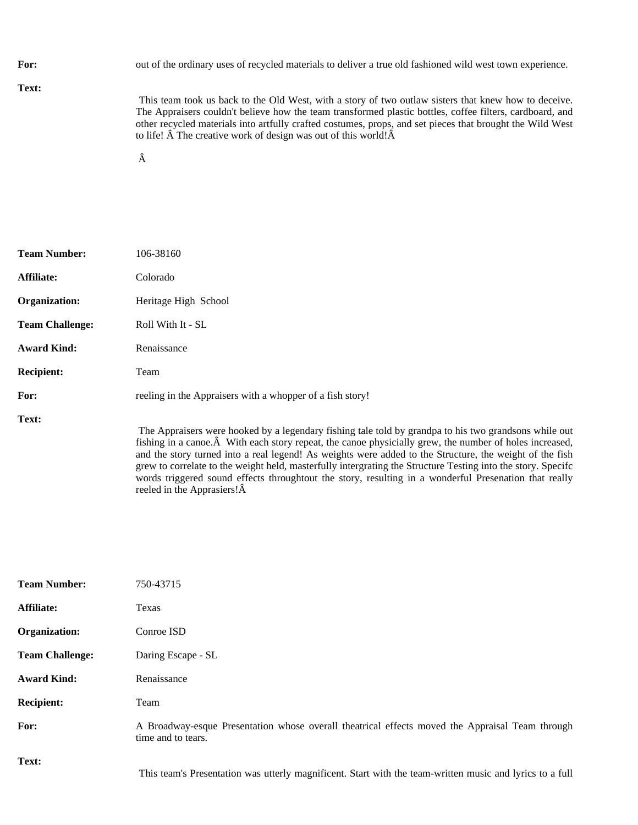| For:  | out of the ordinary uses of recycled materials to deliver a true old fashioned wild west town experience.                                                                                                                                                                                                                                                                                                        |
|-------|------------------------------------------------------------------------------------------------------------------------------------------------------------------------------------------------------------------------------------------------------------------------------------------------------------------------------------------------------------------------------------------------------------------|
| Text: | This team took us back to the Old West, with a story of two outlaw sisters that knew how to deceive.<br>The Appraisers couldn't believe how the team transformed plastic bottles, coffee filters, cardboard, and<br>other recycled materials into artfully crafted costumes, props, and set pieces that brought the Wild West<br>to life! $\hat{A}$ The creative work of design was out of this world! $\hat{A}$ |

| <b>Team Number:</b>    | 106-38160                                                                                                                   |
|------------------------|-----------------------------------------------------------------------------------------------------------------------------|
| Affiliate:             | Colorado                                                                                                                    |
| Organization:          | Heritage High School                                                                                                        |
| <b>Team Challenge:</b> | Roll With It - SL                                                                                                           |
| <b>Award Kind:</b>     | Renaissance                                                                                                                 |
| <b>Recipient:</b>      | Team                                                                                                                        |
| For:                   | reeling in the Appraisers with a whopper of a fish story!                                                                   |
| Text:                  | The Appraisers were hooked by a legendary fishing tale<br>fishing in a canoe. $\hat{A}$ With each story repeat, the canoe p |

 The Appraisers were hooked by a legendary fishing tale told by grandpa to his two grandsons while out fishing in a canoe.  $\hat{A}$  With each story repeat, the canoe physicially grew, the number of holes increased, and the story turned into a real legend! As weights were added to the Structure, the weight of the fish grew to correlate to the weight held, masterfully intergrating the Structure Testing into the story. Specifc words triggered sound effects throughtout the story, resulting in a wonderful Presenation that really reeled in the Apprasiers! $\hat{A}$ 

| <b>Team Number:</b>    | 750-43715                                                                                                             |
|------------------------|-----------------------------------------------------------------------------------------------------------------------|
| Affiliate:             | Texas                                                                                                                 |
| Organization:          | Conroe ISD                                                                                                            |
| <b>Team Challenge:</b> | Daring Escape - SL                                                                                                    |
| <b>Award Kind:</b>     | Renaissance                                                                                                           |
| <b>Recipient:</b>      | Team                                                                                                                  |
| For:                   | A Broadway-esque Presentation whose overall theatrical effects moved the Appraisal Team through<br>time and to tears. |
| Text:                  | This team's Presentation was utterly magnificent. Start with the team-written music and lyrics to a full              |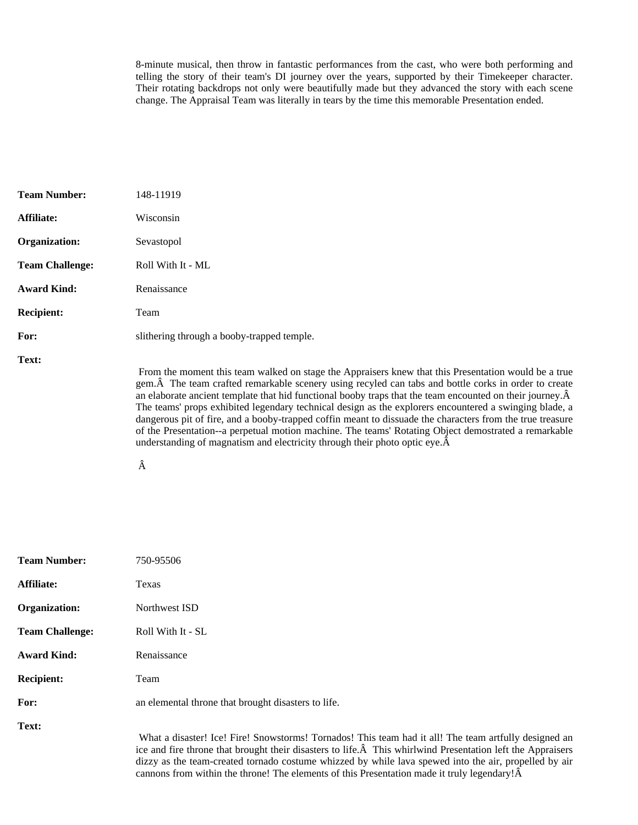8-minute musical, then throw in fantastic performances from the cast, who were both performing and telling the story of their team's DI journey over the years, supported by their Timekeeper character. Their rotating backdrops not only were beautifully made but they advanced the story with each scene change. The Appraisal Team was literally in tears by the time this memorable Presentation ended.

| <b>Team Number:</b>    | 148-11919                                                                                                                                                                                                                                                                                                                                                                                                                                                                                                                                                                                                                                                                                                                                               |
|------------------------|---------------------------------------------------------------------------------------------------------------------------------------------------------------------------------------------------------------------------------------------------------------------------------------------------------------------------------------------------------------------------------------------------------------------------------------------------------------------------------------------------------------------------------------------------------------------------------------------------------------------------------------------------------------------------------------------------------------------------------------------------------|
| Affiliate:             | Wisconsin                                                                                                                                                                                                                                                                                                                                                                                                                                                                                                                                                                                                                                                                                                                                               |
| Organization:          | Sevastopol                                                                                                                                                                                                                                                                                                                                                                                                                                                                                                                                                                                                                                                                                                                                              |
| <b>Team Challenge:</b> | Roll With It - ML                                                                                                                                                                                                                                                                                                                                                                                                                                                                                                                                                                                                                                                                                                                                       |
| <b>Award Kind:</b>     | Renaissance                                                                                                                                                                                                                                                                                                                                                                                                                                                                                                                                                                                                                                                                                                                                             |
| <b>Recipient:</b>      | Team                                                                                                                                                                                                                                                                                                                                                                                                                                                                                                                                                                                                                                                                                                                                                    |
| For:                   | slithering through a booby-trapped temple.                                                                                                                                                                                                                                                                                                                                                                                                                                                                                                                                                                                                                                                                                                              |
| Text:                  | From the moment this team walked on stage the Appraisers knew that this Presentation would be a true<br>gem. Â The team crafted remarkable scenery using recyled can tabs and bottle corks in order to create<br>an elaborate ancient template that hid functional booby traps that the team encounted on their journey. $\hat{A}$<br>The teams' props exhibited legendary technical design as the explorers encountered a swinging blade, a<br>dangerous pit of fire, and a booby-trapped coffin meant to dissuade the characters from the true treasure<br>of the Presentation-a perpetual motion machine. The teams' Rotating Object demostrated a remarkable<br>understanding of magnatism and electricity through their photo optic eye. $\hat{A}$ |

Â

| <b>Team Number:</b>    | 750-95506                                                                                                      |
|------------------------|----------------------------------------------------------------------------------------------------------------|
| Affiliate:             | Texas                                                                                                          |
| Organization:          | Northwest ISD                                                                                                  |
| <b>Team Challenge:</b> | Roll With It - SL                                                                                              |
| <b>Award Kind:</b>     | Renaissance                                                                                                    |
| <b>Recipient:</b>      | Team                                                                                                           |
| For:                   | an elemental throne that brought disasters to life.                                                            |
| Text:                  | What a disaster! Ice! Fire! Snowstorms! Tornados!<br>ice and fire throne that brought their disasters to life. |

This team had it all! The team artfully designed an  $\hat{A}$  This whirlwind Presentation left the Appraisers dizzy as the team-created tornado costume whizzed by while lava spewed into the air, propelled by air cannons from within the throne! The elements of this Presentation made it truly legendary! $\hat{A}$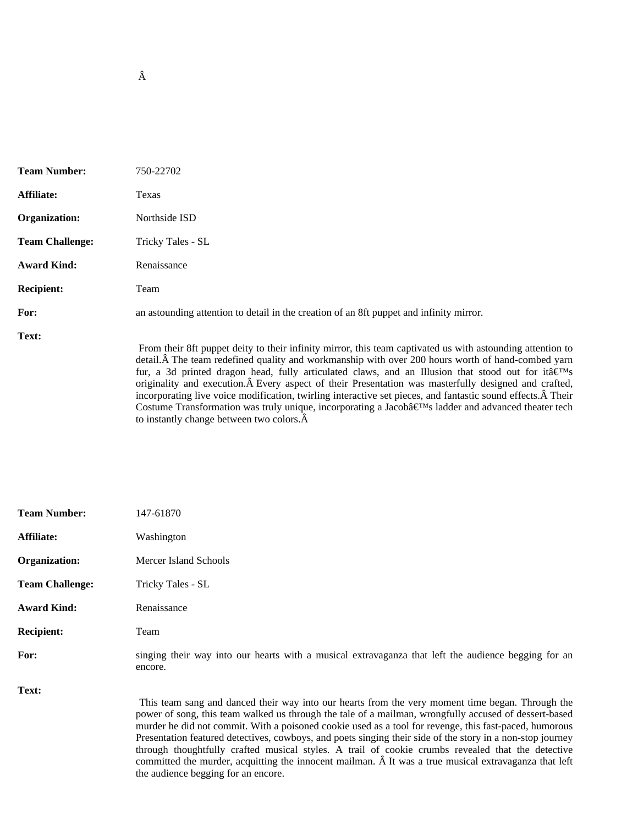| <b>Team Number:</b>    | 750-22702                                                                                                                                                                                                                                                                                                                                                                                                                                                                                                                                                                |
|------------------------|--------------------------------------------------------------------------------------------------------------------------------------------------------------------------------------------------------------------------------------------------------------------------------------------------------------------------------------------------------------------------------------------------------------------------------------------------------------------------------------------------------------------------------------------------------------------------|
| Affiliate:             | Texas                                                                                                                                                                                                                                                                                                                                                                                                                                                                                                                                                                    |
| Organization:          | Northside ISD                                                                                                                                                                                                                                                                                                                                                                                                                                                                                                                                                            |
| <b>Team Challenge:</b> | Tricky Tales - SL                                                                                                                                                                                                                                                                                                                                                                                                                                                                                                                                                        |
| <b>Award Kind:</b>     | Renaissance                                                                                                                                                                                                                                                                                                                                                                                                                                                                                                                                                              |
| <b>Recipient:</b>      | Team                                                                                                                                                                                                                                                                                                                                                                                                                                                                                                                                                                     |
| For:                   | an astounding attention to detail in the creation of an 8ft puppet and infinity mirror.                                                                                                                                                                                                                                                                                                                                                                                                                                                                                  |
| Text:                  | From their 8ft puppet deity to their infinity mirror, this team captivated us with astounding attention to<br>detail. The team redefined quality and workmanship with over 200 hours worth of hand-combed yarn<br>fur, a 3d printed dragon head, fully articulated claws, and an Illusion that stood out for ita $\hat{\epsilon}^{\text{TM}}$ s<br>originality and execution. A Every aspect of their Presentation was masterfully designed and crafted,<br>incorporating live voice modification, twirling interactive set pieces, and fantastic sound effects. A Their |

to instantly change between two colors.  $\hat{A}$ 

the audience begging for an encore.

Costume Transformation was truly unique, incorporating a Jacob $\hat{\mathbf{z}} \in \mathbb{R}^M$ s ladder and advanced theater tech

| <b>Team Number:</b>    | 147-61870                                                                                                                                                                                                                                                                                                                                                                                                                                                                                                                                                                                                                                       |
|------------------------|-------------------------------------------------------------------------------------------------------------------------------------------------------------------------------------------------------------------------------------------------------------------------------------------------------------------------------------------------------------------------------------------------------------------------------------------------------------------------------------------------------------------------------------------------------------------------------------------------------------------------------------------------|
| Affiliate:             | Washington                                                                                                                                                                                                                                                                                                                                                                                                                                                                                                                                                                                                                                      |
| Organization:          | Mercer Island Schools                                                                                                                                                                                                                                                                                                                                                                                                                                                                                                                                                                                                                           |
| <b>Team Challenge:</b> | Tricky Tales - SL                                                                                                                                                                                                                                                                                                                                                                                                                                                                                                                                                                                                                               |
| <b>Award Kind:</b>     | Renaissance                                                                                                                                                                                                                                                                                                                                                                                                                                                                                                                                                                                                                                     |
| <b>Recipient:</b>      | Team                                                                                                                                                                                                                                                                                                                                                                                                                                                                                                                                                                                                                                            |
| For:                   | singing their way into our hearts with a musical extravaganza that left the audience begging for an<br>encore.                                                                                                                                                                                                                                                                                                                                                                                                                                                                                                                                  |
| Text:                  | This team sang and danced their way into our hearts from the very moment time began. Through the<br>power of song, this team walked us through the tale of a mailman, wrongfully accused of dessert-based<br>murder he did not commit. With a poisoned cookie used as a tool for revenge, this fast-paced, humorous<br>Presentation featured detectives, cowboys, and poets singing their side of the story in a non-stop journey<br>through thoughtfully crafted musical styles. A trail of cookie crumbs revealed that the detective<br>committed the murder, acquitting the innocent mailman. A It was a true musical extravaganza that left |

Â